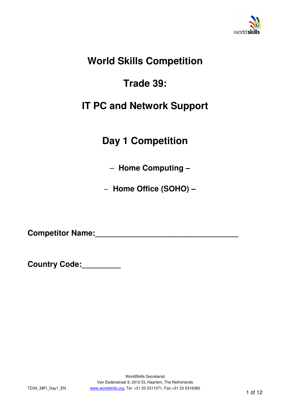

# **World Skills Competition**

# **Trade 39:**

# **IT PC and Network Support**

# **Day 1 Competition**

– **Home Computing –** 

– **Home Office (SOHO) –**

Competitor Name:

**Country Code:\_\_\_\_\_\_\_\_\_**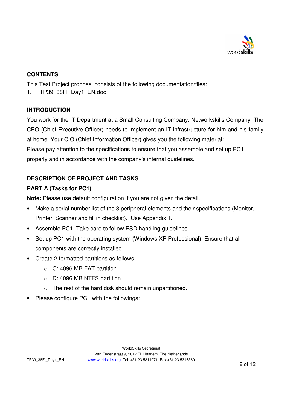

#### **CONTENTS**

This Test Project proposal consists of the following documentation/files:

1. TP39\_38FI\_Day1\_EN.doc

#### **INTRODUCTION**

You work for the IT Department at a Small Consulting Company, Networkskills Company. The CEO (Chief Executive Officer) needs to implement an IT infrastructure for him and his family at home. Your CIO (Chief Information Officer) gives you the following material: Please pay attention to the specifications to ensure that you assemble and set up PC1

properly and in accordance with the company's internal guidelines.

### **DESCRIPTION OF PROJECT AND TASKS**

### **PART A (Tasks for PC1)**

**Note:** Please use default configuration if you are not given the detail.

- Make a serial number list of the 3 peripheral elements and their specifications (Monitor, Printer, Scanner and fill in checklist). Use Appendix 1.
- Assemble PC1. Take care to follow ESD handling quidelines.
- Set up PC1 with the operating system (Windows XP Professional). Ensure that all components are correctly installed.
- Create 2 formatted partitions as follows
	- o C: 4096 MB FAT partition
	- o D: 4096 MB NTFS partition
	- o The rest of the hard disk should remain unpartitioned.
- Please configure PC1 with the followings: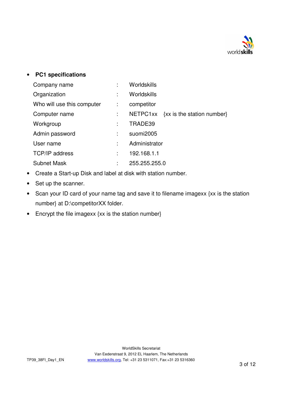

#### • **PC1 specifications**

| Company name               | Worldskills                            |
|----------------------------|----------------------------------------|
| Organization               | Worldskills                            |
| Who will use this computer | competitor                             |
| Computer name              | {xx is the station number}<br>NETPC1xx |
| Workgroup                  | TRADE39                                |
| Admin password             | suomi2005                              |
| User name                  | Administrator                          |
| <b>TCP/IP address</b>      | 192.168.1.1                            |
| <b>Subnet Mask</b>         | 255.255.255.0                          |

- Create a Start-up Disk and label at disk with station number.
- Set up the scanner.
- Scan your ID card of your name tag and save it to filename imagexx {xx is the station number} at D:\competitorXX folder.
- Encrypt the file imagexx {xx is the station number}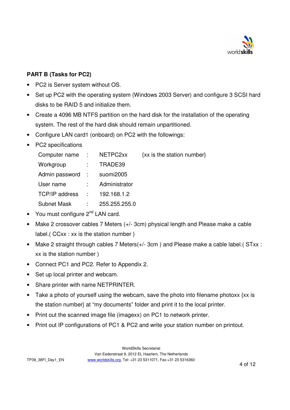

#### **PART B (Tasks for PC2)**

- PC2 is Server system without OS.
- Set up PC2 with the operating system (Windows 2003 Server) and configure 3 SCSI hard disks to be RAID 5 and initialize them.
- Create a 4096 MB NTFS partition on the hard disk for the installation of the operating system. The rest of the hard disk should remain unpartitioned.
- Configure LAN card1 (onboard) on PC2 with the followings:
- PC2 specifications

| Computer name : NETPC2xx   |                             |               | {xx is the station number} |
|----------------------------|-----------------------------|---------------|----------------------------|
| Workgroup                  |                             | $:$ TRADE39   |                            |
| Admin password : suomi2005 |                             |               |                            |
| User name                  | $\mathcal{L} = \mathcal{L}$ | Administrator |                            |
| TCP/IP address :           |                             | 192.168.1.2   |                            |
| Subnet Mask                |                             | 255.255.255.0 |                            |

- You must configure  $2^{nd}$  LAN card.
- Make 2 crossover cables 7 Meters (+/- 3cm) physical length and Please make a cable label.( CCxx : xx is the station number )
- Make 2 straight through cables 7 Meters(+/- 3cm) and Please make a cable label.( STxx : xx is the station number )
- Connect PC1 and PC2. Refer to Appendix 2.
- Set up local printer and webcam.
- Share printer with name NETPRINTER.
- Take a photo of yourself using the webcam, save the photo into filename photoxx {xx is the station number} at "my documents" folder and print it to the local printer.
- Print out the scanned image file (imagexx) on PC1 to network printer.
- Print out IP configurations of PC1 & PC2 and write your station number on printout.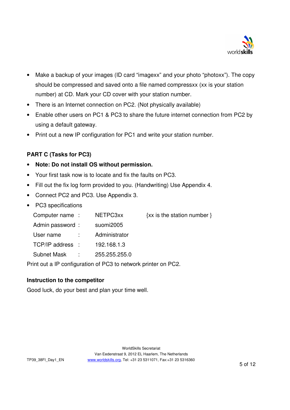

- Make a backup of your images (ID card "imagexx" and your photo "photoxx"). The copy should be compressed and saved onto a file named compressxx (xx is your station number) at CD. Mark your CD cover with your station number.
- There is an Internet connection on PC2. (Not physically available)
- Enable other users on PC1 & PC3 to share the future internet connection from PC2 by using a default gateway.
- Print out a new IP configuration for PC1 and write your station number.

#### **PART C (Tasks for PC3)**

- **Note: Do not install OS without permission.**
- Your first task now is to locate and fix the faults on PC3.
- Fill out the fix log form provided to you. (Handwriting) Use Appendix 4.
- Connect PC2 and PC3. Use Appendix 3.
- PC3 specifications

| Computer name:   |             | NETPC3xx      | $\{xx \text{ is the station number }\}$ |
|------------------|-------------|---------------|-----------------------------------------|
| Admin password:  |             | suomi2005     |                                         |
| User name        | $\sim 1000$ | Administrator |                                         |
| TCP/IP address : |             | 192.168.1.3   |                                         |
| Subnet Mask :    |             | 255.255.255.0 |                                         |

Print out a IP configuration of PC3 to network printer on PC2.

#### **Instruction to the competitor**

Good luck, do your best and plan your time well.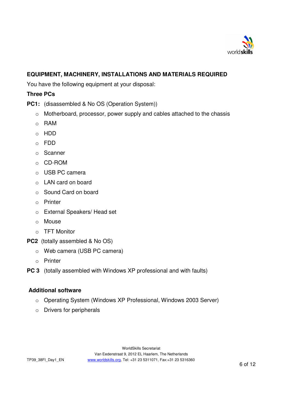

#### **EQUIPMENT, MACHINERY, INSTALLATIONS AND MATERIALS REQUIRED**

You have the following equipment at your disposal:

#### **Three PCs**

**PC1:** (disassembled & No OS (Operation System))

- o Motherboard, processor, power supply and cables attached to the chassis
- o RAM
- o HDD
- o FDD
- o Scanner
- o CD-ROM
- o USB PC camera
- o LAN card on board
- o Sound Card on board
- o Printer
- o External Speakers/ Head set
- o Mouse
- o TFT Monitor
- **PC2** (totally assembled & No OS)
	- o Web camera (USB PC camera)
	- o Printer
- **PC 3** (totally assembled with Windows XP professional and with faults)

#### **Additional software**

- o Operating System (Windows XP Professional, Windows 2003 Server)
- o Drivers for peripherals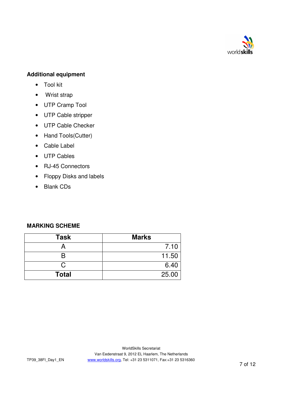

#### **Additional equipment**

- Tool kit
- Wrist strap
- UTP Cramp Tool
- UTP Cable stripper
- UTP Cable Checker
- Hand Tools(Cutter)
- Cable Label
- UTP Cables
- RJ-45 Connectors
- Floppy Disks and labels
- Blank CDs

#### **MARKING SCHEME**

| <b>Task</b>  | <b>Marks</b> |
|--------------|--------------|
|              | 7.10         |
|              | 11.50        |
| C,           | 6.40         |
| <b>Total</b> | 25.00        |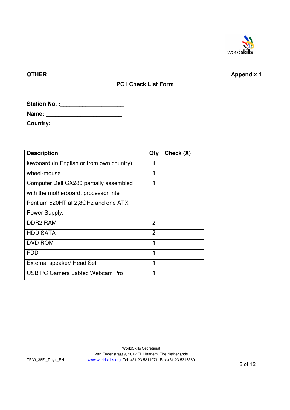

### **OTHER** Appendix 1

### **PC1 Check List Form**

| <b>Station No.:</b> |
|---------------------|
|                     |

| Name: |  |
|-------|--|
|       |  |

**Country:\_\_\_\_\_\_\_\_\_\_\_\_\_\_\_\_\_\_\_\_\_\_\_** 

| <b>Description</b>                        | Qty         | Check (X) |
|-------------------------------------------|-------------|-----------|
| keyboard (in English or from own country) | 1           |           |
| wheel-mouse                               | 1           |           |
| Computer Dell GX280 partially assembled   | 1           |           |
| with the motherboard, processor Intel     |             |           |
| Pentium 520HT at 2,8GHz and one ATX       |             |           |
| Power Supply.                             |             |           |
| <b>DDR2 RAM</b>                           | 2           |           |
| <b>HDD SATA</b>                           | $\mathbf 2$ |           |
| <b>DVD ROM</b>                            | 1           |           |
| <b>FDD</b>                                | 1           |           |
| External speaker/ Head Set                | 1           |           |
| USB PC Camera Labtec Webcam Pro           | 1           |           |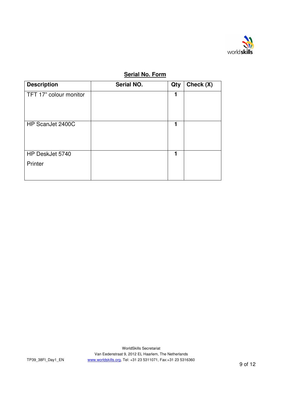

### **Serial No. Form**

| <b>Description</b>     | Serial NO. | Qty | Check (X) |
|------------------------|------------|-----|-----------|
| TFT 17" colour monitor |            | 1   |           |
| HP ScanJet 2400C       |            | 1   |           |
| HP DeskJet 5740        |            | 1   |           |
| Printer                |            |     |           |

WorldSkills Secretariat Van Eedenstraat 9, 2012 EL Haarlem, The Netherlands www.worldskills.org, Tel: +31 23 5311071, Fax:+31 23 5316360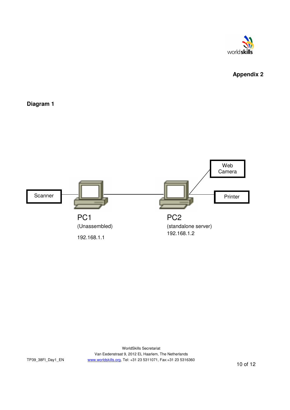

# **Appendix 2**

#### **Diagram 1**

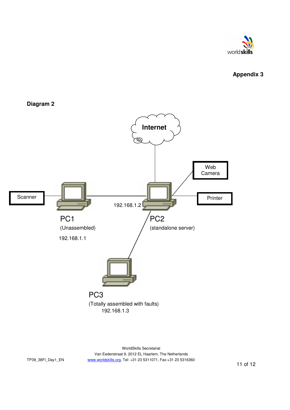

### **Appendix 3**





WorldSkills Secretariat Van Eedenstraat 9, 2012 EL Haarlem, The Netherlands www.worldskills.org, Tel: +31 23 5311071, Fax:+31 23 5316360